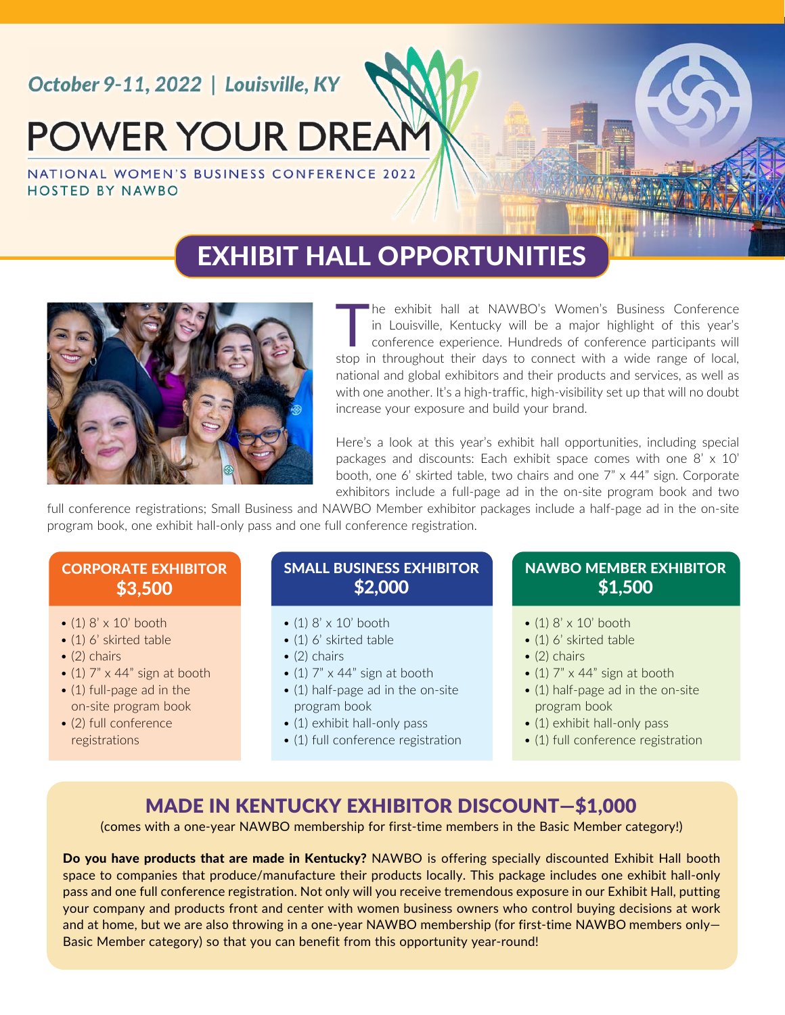## October 9-11, 2022 | Louisville, KY

# **POWER YOUR DREAM**

NATIONAL WOMEN'S BUSINESS CONFERENCE 2022 **HOSTED BY NAWBO** 

## EXHIBIT HALL OPPORTUNITIES



The exhibit hall at NAWBO's Women's Business Conference<br>in Louisville, Kentucky will be a major highlight of this year's<br>conference experience. Hundreds of conference participants will<br>at the introduction is throughout the in Louisville, Kentucky will be a major highlight of this year's conference experience. Hundreds of conference participants will stop in throughout their days to connect with a wide range of local, national and global exhibitors and their products and services, as well as with one another. It's a high-traffic, high-visibility set up that will no doubt increase your exposure and build your brand.

Here's a look at this year's exhibit hall opportunities, including special packages and discounts: Each exhibit space comes with one 8' x 10' booth, one 6' skirted table, two chairs and one 7" x 44" sign. Corporate exhibitors include a full-page ad in the on-site program book and two

full conference registrations; Small Business and NAWBO Member exhibitor packages include a half-page ad in the on-site program book, one exhibit hall-only pass and one full conference registration.

#### CORPORATE EXHIBITOR \$3,500

- $\bullet$  (1)  $8' \times 10'$  booth
- (1) 6' skirted table
- $\bullet$  (2) chairs
- (1)  $7" \times 44"$  sign at booth
- (1) full-page ad in the on-site program book
- (2) full conference registrations

#### SMALL BUSINESS EXHIBITOR \$2,000

- $\bullet$  (1)  $8' \times 10'$  booth
- (1) 6' skirted table
- $\bullet$  (2) chairs
- (1)  $7" \times 44"$  sign at booth
- (1) half-page ad in the on-site program book
- (1) exhibit hall-only pass
- (1) full conference registration

#### NAWBO MEMBER EXHIBITOR \$1,500

- $\bullet$  (1)  $8' \times 10'$  booth
- (1) 6' skirted table
- $\bullet$  (2) chairs
- (1)  $7" \times 44"$  sign at booth
- (1) half-page ad in the on-site program book
- (1) exhibit hall-only pass
- (1) full conference registration

### MADE IN KENTUCKY EXHIBITOR DISCOUNT—\$1,000

(comes with a one-year NAWBO membership for first-time members in the Basic Member category!)

Do you have products that are made in Kentucky? NAWBO is offering specially discounted Exhibit Hall booth space to companies that produce/manufacture their products locally. This package includes one exhibit hall-only pass and one full conference registration. Not only will you receive tremendous exposure in our Exhibit Hall, putting your company and products front and center with women business owners who control buying decisions at work and at home, but we are also throwing in a one-year NAWBO membership (for first-time NAWBO members only-Basic Member category) so that you can benefit from this opportunity year-round!